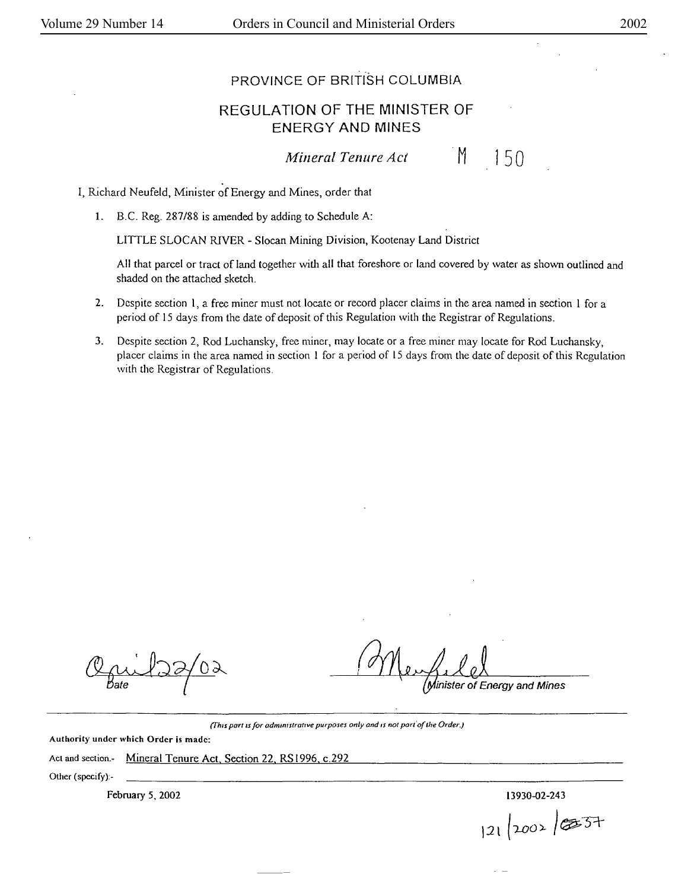## PROVINCE OF BRITISH COLUMBIA

## REGULATION OF THE MINISTER OF ENERGY **AND MINES**

*Mineral Tenure Act* 

150

 $M$ 

I, Richard Neufeld, Minister of Energy and Mines, order that

1. B.C. Reg. 287/88 is amended by adding to Schedule A:

LITTLE SLOCAN RIVER - Slocan Mining Division, Kootenay Land District

All that parcel or tract of land together with all that foreshore or land covered by water as shown outlined and shaded on the attached sketch.

- 2. Despite section l, a free miner must not locate or record placer claims in the area named in section I for a period of 15 days from the date of deposit of this Regulation with the Registrar of Regulations.
- 3. Despite section 2, Rod Luchansky, free miner, may locate or a free miner may locate for Rod Luchansky, placer claims in the area named in section I for a period of 15 days from the date of deposit of this Regulatjon with the Registrar of Regulations.

inister of Energy and Mines

*(This part is for administrative purposes only and is not part of the Order.)* 

Authority under which **Order is** made:

Act and section.- Mineral Tenure Act, Section 22, RS1996, c.292

Other (spccify):-

February *5,* 2002 13930-02-243

 $121 |2002 |$